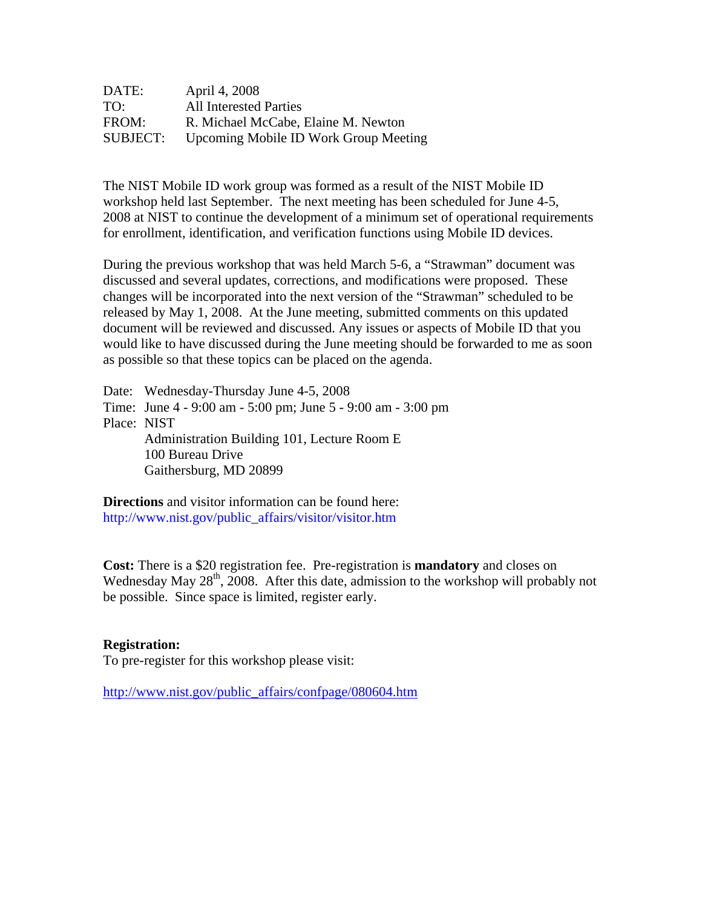| DATE:           | April 4, 2008                                |
|-----------------|----------------------------------------------|
| TO:             | <b>All Interested Parties</b>                |
| FROM:           | R. Michael McCabe, Elaine M. Newton          |
| <b>SUBJECT:</b> | <b>Upcoming Mobile ID Work Group Meeting</b> |

The NIST Mobile ID work group was formed as a result of the NIST Mobile ID workshop held last September. The next meeting has been scheduled for June 4-5, 2008 at NIST to continue the development of a minimum set of operational requirements for enrollment, identification, and verification functions using Mobile ID devices.

During the previous workshop that was held March 5-6, a "Strawman" document was discussed and several updates, corrections, and modifications were proposed. These changes will be incorporated into the next version of the "Strawman" scheduled to be released by May 1, 2008. At the June meeting, submitted comments on this updated document will be reviewed and discussed. Any issues or aspects of Mobile ID that you would like to have discussed during the June meeting should be forwarded to me as soon as possible so that these topics can be placed on the agenda.

Date: Wednesday-Thursday June 4-5, 2008 Time: June 4 - 9:00 am - 5:00 pm; June 5 - 9:00 am - 3:00 pm Place: NIST Administration Building 101, Lecture Room E 100 Bureau Drive Gaithersburg, MD 20899

**Directions** and visitor information can be found here: [http://www.nist.gov/public\\_affairs/visitor/visitor.htm](http://www.nist.gov/public_affairs/visitor/visitor.htm) 

**Cost:** There is a \$20 registration fee. Pre-registration is **mandatory** and closes on Wednesday May 28<sup>th</sup>, 2008. After this date, admission to the workshop will probably not be possible. Since space is limited, register early.

## **Registration:**

To pre-register for this workshop please visit:

[http://www.nist.gov/public\\_affairs/confpage/080604.htm](http://www.nist.gov/public_affairs/confpage/080604.htm)